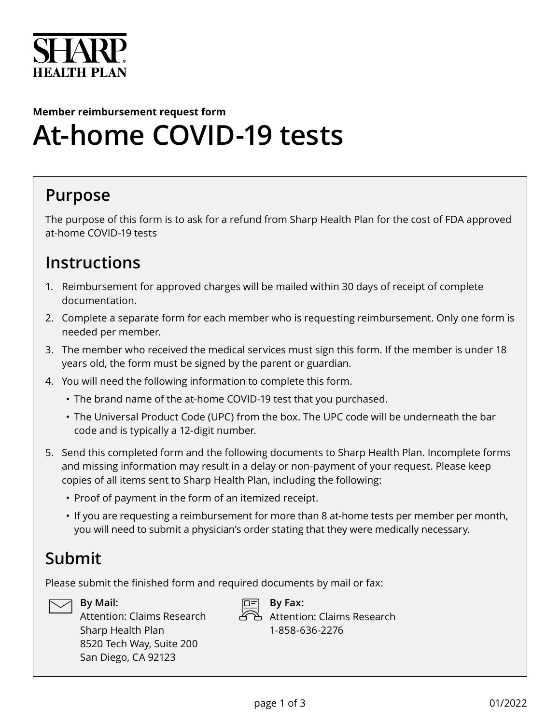

# **Member reimbursement request form At-home COVID-19 tests**

### **Purpose**

The purpose of this form is to ask for a refund from Sharp Health Plan for the cost of FDA approved at-home COVID-19 tests

#### **Instructions**

- 1. Reimbursement for approved charges will be mailed within 30 days of receipt of complete documentation.
- 2. Complete a separate form for each member who is requesting reimbursement. Only one form is needed per member.
- 3. The member who received the medical services must sign this form. If the member is under 18 years old, the form must be signed by the parent or guardian.
- 4. You will need the following information to complete this form.
	- The brand name of the at-home COVID-19 test that you purchased.
	- The Universal Product Code (UPC) from the box. The UPC code will be underneath the bar code and is typically a 12-digit number.
- 5. Send this completed form and the following documents to Sharp Health Plan. Incomplete forms and missing information may result in a delay or non-payment of your request. Please keep copies of all items sent to Sharp Health Plan, including the following:
	- Proof of payment in the form of an itemized receipt.
	- If you are requesting a reimbursement for more than 8 at-home tests per member per month, you will need to submit a physician's order stating that they were medically necessary.

## **Submit**

Please submit the finished form and required documents by mail or fax:



**By Mail:** 

Attention: Claims Research Sharp Health Plan 8520 Tech Way, Suite 200 San Diego, CA 92123



**By Fax:**  Attention: Claims Research 1-858-636-2276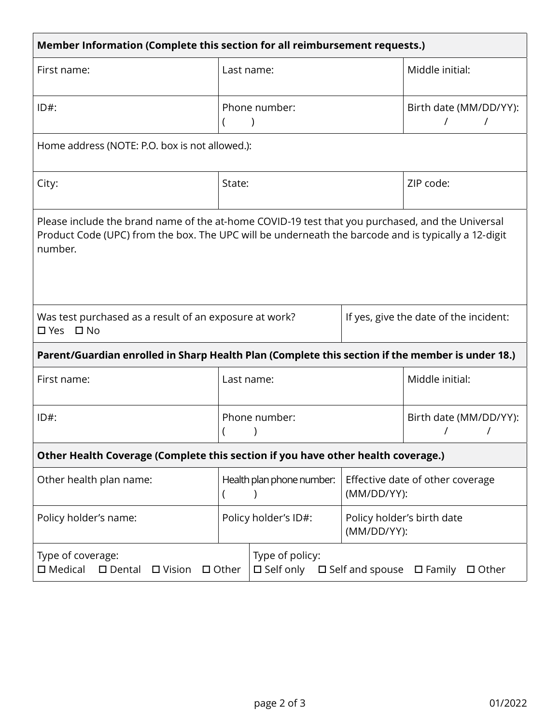| Member Information (Complete this section for all reimbursement requests.)                                                                                                                                         |                           |                                        |                                                 |                 |  |  |
|--------------------------------------------------------------------------------------------------------------------------------------------------------------------------------------------------------------------|---------------------------|----------------------------------------|-------------------------------------------------|-----------------|--|--|
| First name:                                                                                                                                                                                                        | Last name:                |                                        |                                                 | Middle initial: |  |  |
| $ID#$ :                                                                                                                                                                                                            | Phone number:             |                                        | Birth date (MM/DD/YY):<br>$\prime$<br>$\prime$  |                 |  |  |
| Home address (NOTE: P.O. box is not allowed.):                                                                                                                                                                     |                           |                                        |                                                 |                 |  |  |
| City:                                                                                                                                                                                                              | State:                    |                                        |                                                 | ZIP code:       |  |  |
| Please include the brand name of the at-home COVID-19 test that you purchased, and the Universal<br>Product Code (UPC) from the box. The UPC will be underneath the barcode and is typically a 12-digit<br>number. |                           |                                        |                                                 |                 |  |  |
| Was test purchased as a result of an exposure at work?<br>□ Yes □ No                                                                                                                                               |                           | If yes, give the date of the incident: |                                                 |                 |  |  |
| Parent/Guardian enrolled in Sharp Health Plan (Complete this section if the member is under 18.)                                                                                                                   |                           |                                        |                                                 |                 |  |  |
| First name:                                                                                                                                                                                                        | Last name:                |                                        | Middle initial:                                 |                 |  |  |
| $ID#$ :                                                                                                                                                                                                            | Phone number:             |                                        | Birth date (MM/DD/YY):                          |                 |  |  |
| Other Health Coverage (Complete this section if you have other health coverage.)                                                                                                                                   |                           |                                        |                                                 |                 |  |  |
| Other health plan name:                                                                                                                                                                                            | Health plan phone number: |                                        | Effective date of other coverage<br>(MM/DD/YY): |                 |  |  |
| Policy holder's name:                                                                                                                                                                                              | Policy holder's ID#:      |                                        | Policy holder's birth date<br>(MM/DD/YY):       |                 |  |  |
| Type of policy:<br>Type of coverage:<br>$\square$ Medical<br>$\square$ Self only<br>$\square$ Dental<br>$\Box$ Other<br>$\Box$ Vision<br>$\square$ Self and spouse<br>$\square$ Family<br>□ Other                  |                           |                                        |                                                 |                 |  |  |